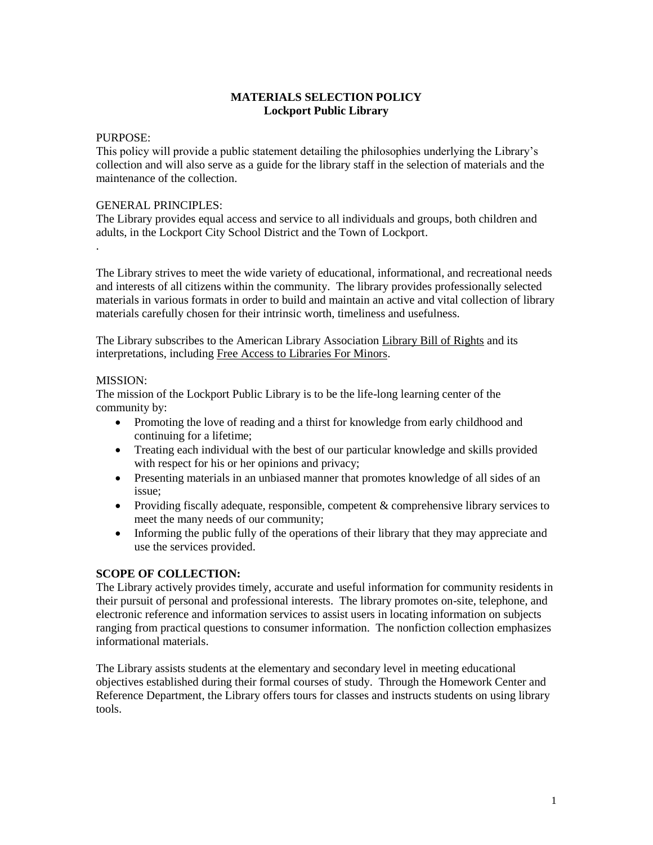## **MATERIALS SELECTION POLICY Lockport Public Library**

#### PURPOSE:

.

This policy will provide a public statement detailing the philosophies underlying the Library's collection and will also serve as a guide for the library staff in the selection of materials and the maintenance of the collection.

#### GENERAL PRINCIPLES:

The Library provides equal access and service to all individuals and groups, both children and adults, in the Lockport City School District and the Town of Lockport.

The Library strives to meet the wide variety of educational, informational, and recreational needs and interests of all citizens within the community. The library provides professionally selected materials in various formats in order to build and maintain an active and vital collection of library materials carefully chosen for their intrinsic worth, timeliness and usefulness.

The Library subscribes to the American Library Association Library Bill of Rights and its interpretations, including Free Access to Libraries For Minors.

#### MISSION:

The mission of the Lockport Public Library is to be the life-long learning center of the community by:

- Promoting the love of reading and a thirst for knowledge from early childhood and continuing for a lifetime;
- Treating each individual with the best of our particular knowledge and skills provided with respect for his or her opinions and privacy;
- Presenting materials in an unbiased manner that promotes knowledge of all sides of an issue;
- Providing fiscally adequate, responsible, competent & comprehensive library services to meet the many needs of our community;
- Informing the public fully of the operations of their library that they may appreciate and use the services provided.

### **SCOPE OF COLLECTION:**

The Library actively provides timely, accurate and useful information for community residents in their pursuit of personal and professional interests. The library promotes on-site, telephone, and electronic reference and information services to assist users in locating information on subjects ranging from practical questions to consumer information. The nonfiction collection emphasizes informational materials.

The Library assists students at the elementary and secondary level in meeting educational objectives established during their formal courses of study. Through the Homework Center and Reference Department, the Library offers tours for classes and instructs students on using library tools.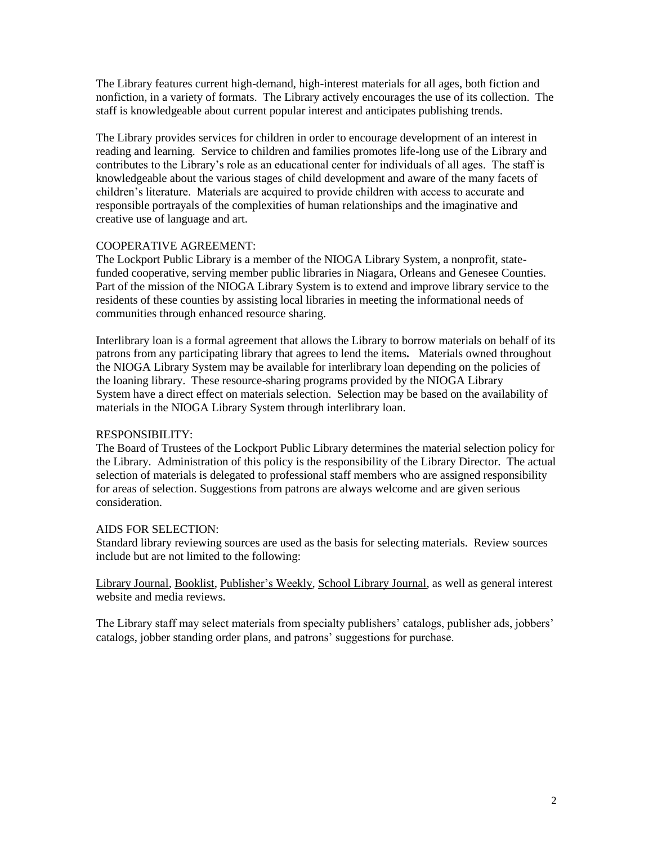The Library features current high-demand, high-interest materials for all ages, both fiction and nonfiction, in a variety of formats. The Library actively encourages the use of its collection. The staff is knowledgeable about current popular interest and anticipates publishing trends.

The Library provides services for children in order to encourage development of an interest in reading and learning. Service to children and families promotes life-long use of the Library and contributes to the Library's role as an educational center for individuals of all ages. The staff is knowledgeable about the various stages of child development and aware of the many facets of children's literature. Materials are acquired to provide children with access to accurate and responsible portrayals of the complexities of human relationships and the imaginative and creative use of language and art.

### COOPERATIVE AGREEMENT:

The Lockport Public Library is a member of the NIOGA Library System, a nonprofit, statefunded cooperative, serving member public libraries in Niagara, Orleans and Genesee Counties. Part of the mission of the NIOGA Library System is to extend and improve library service to the residents of these counties by assisting local libraries in meeting the informational needs of communities through enhanced resource sharing.

Interlibrary loan is a formal agreement that allows the Library to borrow materials on behalf of its patrons from any participating library that agrees to lend the items*.* Materials owned throughout the NIOGA Library System may be available for interlibrary loan depending on the policies of the loaning library. These resource-sharing programs provided by the NIOGA Library System have a direct effect on materials selection. Selection may be based on the availability of materials in the NIOGA Library System through interlibrary loan.

# RESPONSIBILITY:

The Board of Trustees of the Lockport Public Library determines the material selection policy for the Library. Administration of this policy is the responsibility of the Library Director. The actual selection of materials is delegated to professional staff members who are assigned responsibility for areas of selection. Suggestions from patrons are always welcome and are given serious consideration.

### AIDS FOR SELECTION:

Standard library reviewing sources are used as the basis for selecting materials. Review sources include but are not limited to the following:

Library Journal, Booklist, Publisher's Weekly, School Library Journal, as well as general interest website and media reviews.

The Library staff may select materials from specialty publishers' catalogs, publisher ads, jobbers' catalogs, jobber standing order plans, and patrons' suggestions for purchase.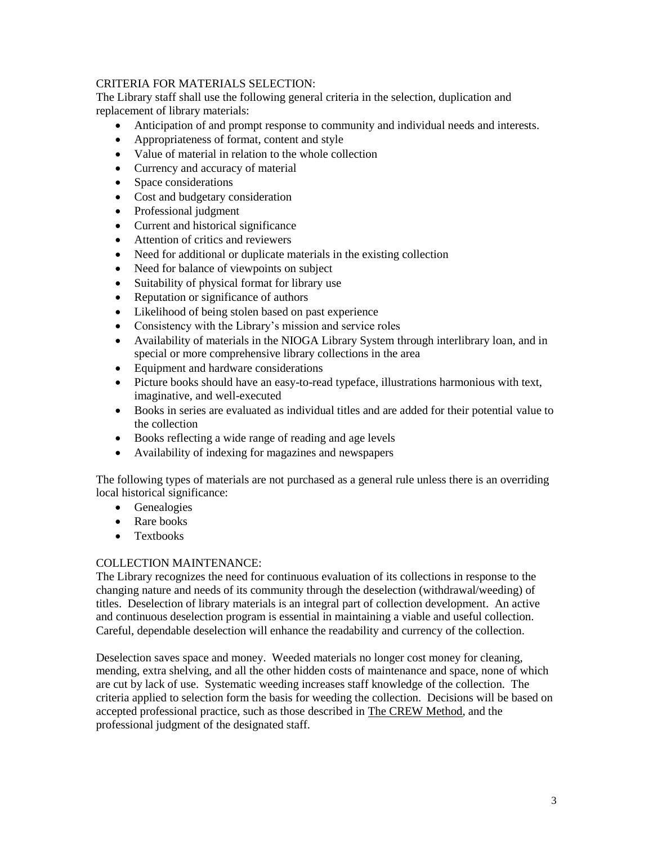## CRITERIA FOR MATERIALS SELECTION:

The Library staff shall use the following general criteria in the selection, duplication and replacement of library materials:

- Anticipation of and prompt response to community and individual needs and interests.
- Appropriateness of format, content and style
- Value of material in relation to the whole collection
- Currency and accuracy of material
- Space considerations
- Cost and budgetary consideration
- Professional judgment
- Current and historical significance
- Attention of critics and reviewers
- Need for additional or duplicate materials in the existing collection
- Need for balance of viewpoints on subject
- Suitability of physical format for library use
- Reputation or significance of authors
- Likelihood of being stolen based on past experience
- Consistency with the Library's mission and service roles
- Availability of materials in the NIOGA Library System through interlibrary loan, and in special or more comprehensive library collections in the area
- Equipment and hardware considerations
- Picture books should have an easy-to-read typeface, illustrations harmonious with text, imaginative, and well-executed
- Books in series are evaluated as individual titles and are added for their potential value to the collection
- Books reflecting a wide range of reading and age levels
- Availability of indexing for magazines and newspapers

The following types of materials are not purchased as a general rule unless there is an overriding local historical significance:

- Genealogies
- Rare books
- Textbooks

### COLLECTION MAINTENANCE:

The Library recognizes the need for continuous evaluation of its collections in response to the changing nature and needs of its community through the deselection (withdrawal/weeding) of titles. Deselection of library materials is an integral part of collection development. An active and continuous deselection program is essential in maintaining a viable and useful collection. Careful, dependable deselection will enhance the readability and currency of the collection.

Deselection saves space and money. Weeded materials no longer cost money for cleaning, mending, extra shelving, and all the other hidden costs of maintenance and space, none of which are cut by lack of use. Systematic weeding increases staff knowledge of the collection. The criteria applied to selection form the basis for weeding the collection. Decisions will be based on accepted professional practice, such as those described in The CREW Method, and the professional judgment of the designated staff.